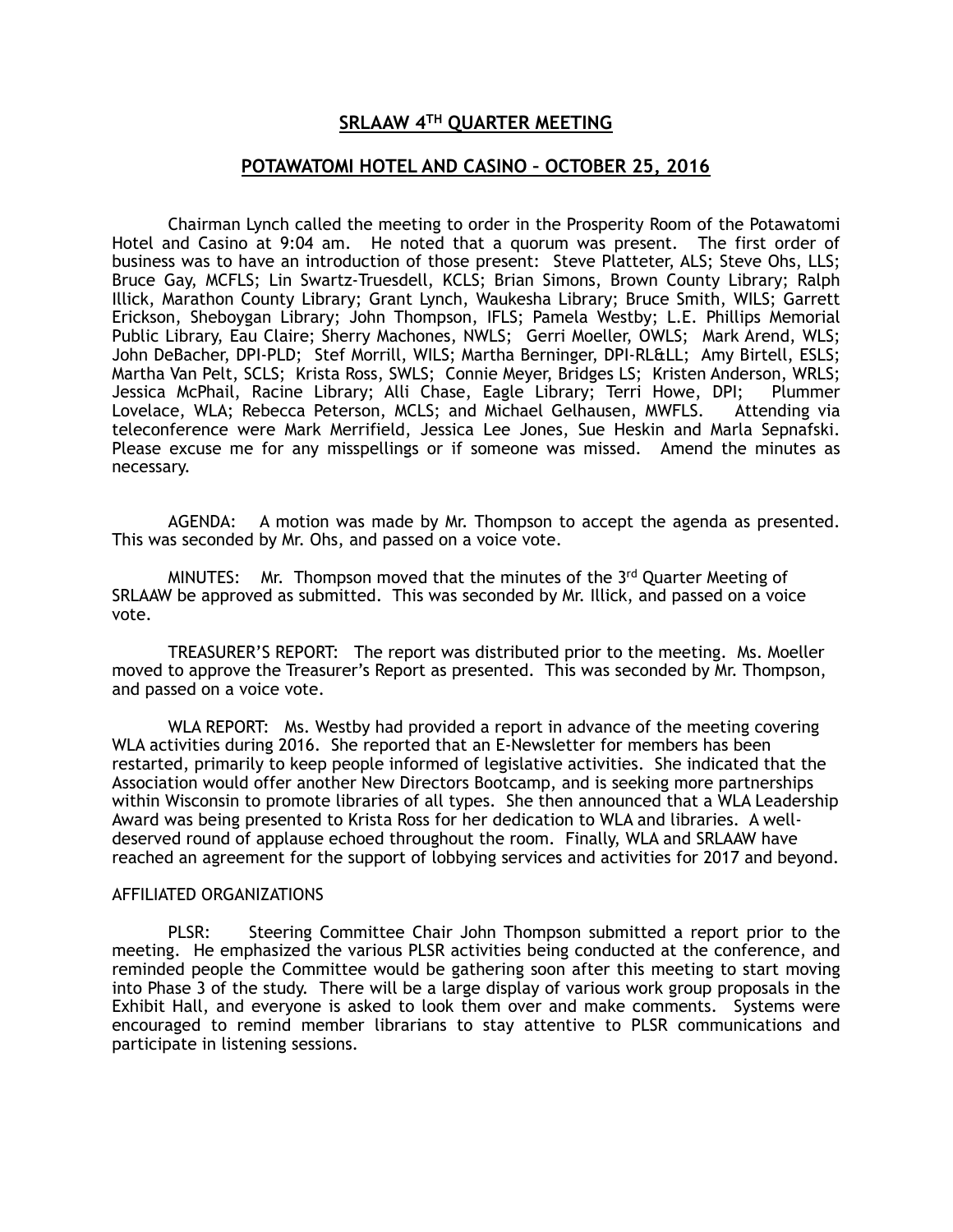## **SRLAAW 4TH QUARTER MEETING**

## **POTAWATOMI HOTEL AND CASINO – OCTOBER 25, 2016**

Chairman Lynch called the meeting to order in the Prosperity Room of the Potawatomi Hotel and Casino at 9:04 am. He noted that a quorum was present. The first order of business was to have an introduction of those present: Steve Platteter, ALS; Steve Ohs, LLS; Bruce Gay, MCFLS; Lin Swartz-Truesdell, KCLS; Brian Simons, Brown County Library; Ralph Illick, Marathon County Library; Grant Lynch, Waukesha Library; Bruce Smith, WILS; Garrett Erickson, Sheboygan Library; John Thompson, IFLS; Pamela Westby; L.E. Phillips Memorial Public Library, Eau Claire; Sherry Machones, NWLS; Gerri Moeller, OWLS; Mark Arend, WLS; John DeBacher, DPI-PLD; Stef Morrill, WILS; Martha Berninger, DPI-RL≪ Amy Birtell, ESLS; Martha Van Pelt, SCLS; Krista Ross, SWLS; Connie Meyer, Bridges LS; Kristen Anderson, WRLS; Jessica McPhail, Racine Library; Alli Chase, Eagle Library; Terri Howe, DPI; Plummer Lovelace, WLA; Rebecca Peterson, MCLS; and Michael Gelhausen, MWFLS. Attending via teleconference were Mark Merrifield, Jessica Lee Jones, Sue Heskin and Marla Sepnafski. Please excuse me for any misspellings or if someone was missed. Amend the minutes as necessary.

AGENDA: A motion was made by Mr. Thompson to accept the agenda as presented. This was seconded by Mr. Ohs, and passed on a voice vote.

MINUTES: Mr. Thompson moved that the minutes of the  $3<sup>rd</sup>$  Quarter Meeting of SRLAAW be approved as submitted. This was seconded by Mr. Illick, and passed on a voice vote.

TREASURER'S REPORT: The report was distributed prior to the meeting. Ms. Moeller moved to approve the Treasurer's Report as presented. This was seconded by Mr. Thompson, and passed on a voice vote.

WLA REPORT: Ms. Westby had provided a report in advance of the meeting covering WLA activities during 2016. She reported that an E-Newsletter for members has been restarted, primarily to keep people informed of legislative activities. She indicated that the Association would offer another New Directors Bootcamp, and is seeking more partnerships within Wisconsin to promote libraries of all types. She then announced that a WLA Leadership Award was being presented to Krista Ross for her dedication to WLA and libraries. A welldeserved round of applause echoed throughout the room. Finally, WLA and SRLAAW have reached an agreement for the support of lobbying services and activities for 2017 and beyond.

## AFFILIATED ORGANIZATIONS

 PLSR: Steering Committee Chair John Thompson submitted a report prior to the meeting. He emphasized the various PLSR activities being conducted at the conference, and reminded people the Committee would be gathering soon after this meeting to start moving into Phase 3 of the study. There will be a large display of various work group proposals in the Exhibit Hall, and everyone is asked to look them over and make comments. Systems were encouraged to remind member librarians to stay attentive to PLSR communications and participate in listening sessions.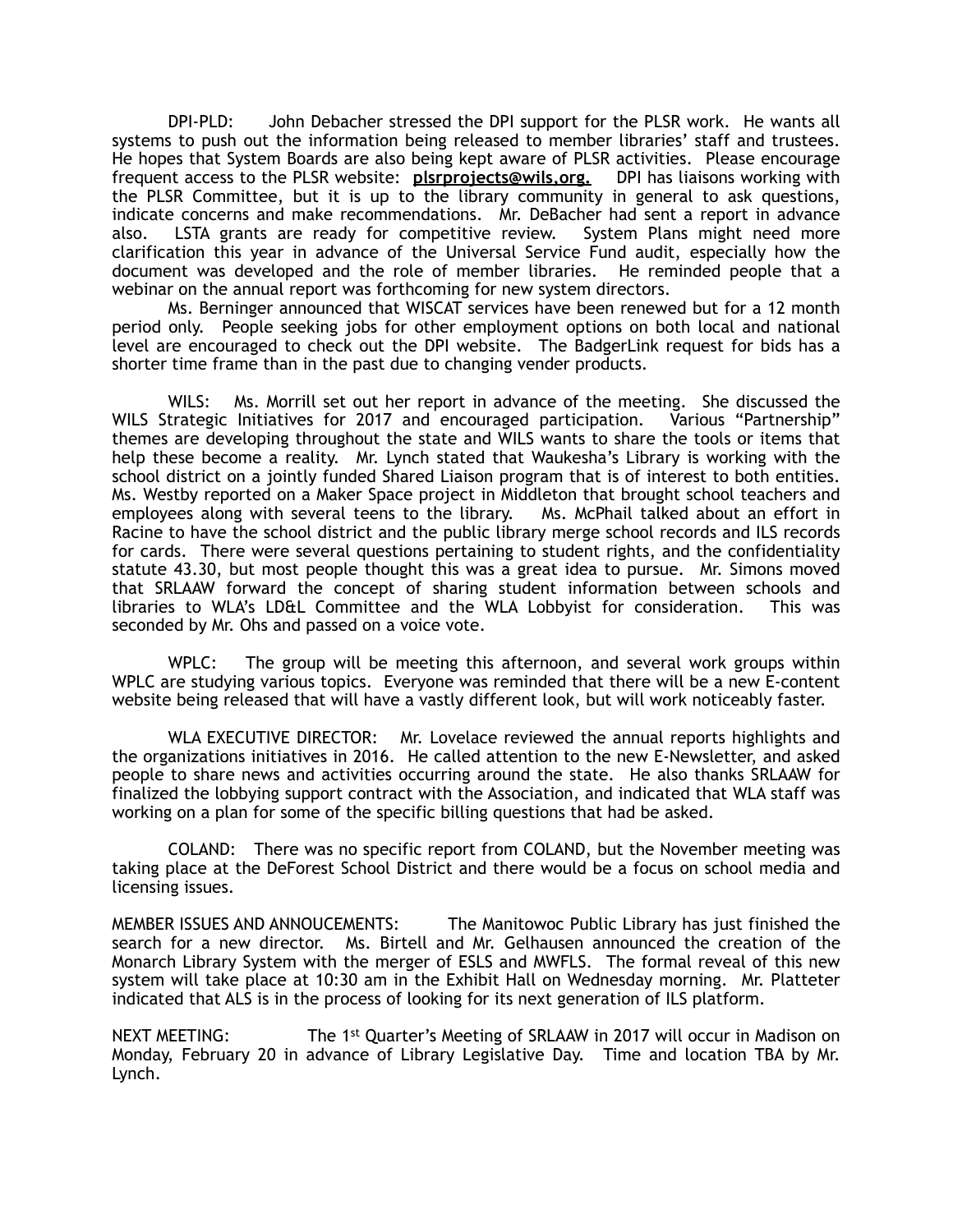DPI-PLD: John Debacher stressed the DPI support for the PLSR work. He wants all systems to push out the information being released to member libraries' staff and trustees. He hopes that System Boards are also being kept aware of PLSR activities. Please encourage frequent access to the PLSR website: **plsrprojects@wils,org.** DPI has liaisons working with the PLSR Committee, but it is up to the library community in general to ask questions, indicate concerns and make recommendations. Mr. DeBacher had sent a report in advance also. LSTA grants are ready for competitive review. System Plans might need more clarification this year in advance of the Universal Service Fund audit, especially how the document was developed and the role of member libraries. He reminded people that a webinar on the annual report was forthcoming for new system directors.

 Ms. Berninger announced that WISCAT services have been renewed but for a 12 month period only. People seeking jobs for other employment options on both local and national level are encouraged to check out the DPI website. The BadgerLink request for bids has a shorter time frame than in the past due to changing vender products.

WILS: Ms. Morrill set out her report in advance of the meeting. She discussed the trates in the report in adva<br>trategic Initiatives for 2017 and encouraged participation. Various "Partnership" WILS Strategic Initiatives for 2017 and encouraged participation. themes are developing throughout the state and WILS wants to share the tools or items that help these become a reality. Mr. Lynch stated that Waukesha's Library is working with the school district on a jointly funded Shared Liaison program that is of interest to both entities. Ms. Westby reported on a Maker Space project in Middleton that brought school teachers and employees along with several teens to the library. Ms. McPhail talked about an effort in Racine to have the school district and the public library merge school records and ILS records for cards. There were several questions pertaining to student rights, and the confidentiality statute 43.30, but most people thought this was a great idea to pursue. Mr. Simons moved that SRLAAW forward the concept of sharing student information between schools and libraries to WLA's LD&L Committee and the WLA Lobbyist for consideration. This was seconded by Mr. Ohs and passed on a voice vote.

 WPLC: The group will be meeting this afternoon, and several work groups within WPLC are studying various topics. Everyone was reminded that there will be a new E-content website being released that will have a vastly different look, but will work noticeably faster.

 WLA EXECUTIVE DIRECTOR: Mr. Lovelace reviewed the annual reports highlights and the organizations initiatives in 2016. He called attention to the new E-Newsletter, and asked people to share news and activities occurring around the state. He also thanks SRLAAW for finalized the lobbying support contract with the Association, and indicated that WLA staff was working on a plan for some of the specific billing questions that had be asked.

 COLAND: There was no specific report from COLAND, but the November meeting was taking place at the DeForest School District and there would be a focus on school media and licensing issues.

MEMBER ISSUES AND ANNOUCEMENTS: The Manitowoc Public Library has just finished the search for a new director. Ms. Birtell and Mr. Gelhausen announced the creation of the Monarch Library System with the merger of ESLS and MWFLS. The formal reveal of this new system will take place at 10:30 am in the Exhibit Hall on Wednesday morning. Mr. Platteter indicated that ALS is in the process of looking for its next generation of ILS platform.

NEXT MEETING: The 1<sup>st</sup> Quarter's Meeting of SRLAAW in 2017 will occur in Madison on Monday, February 20 in advance of Library Legislative Day. Time and location TBA by Mr. Lynch.